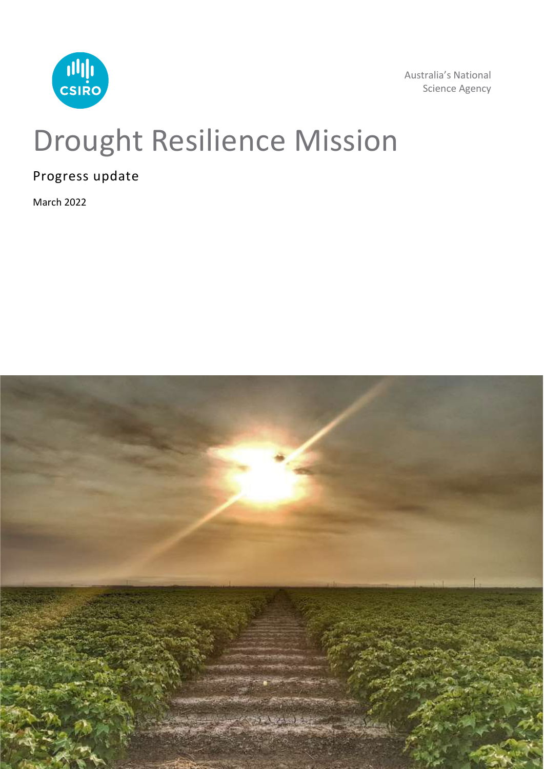

Australia's National Science Agency

## Drought Resilience Mission

Progress update

March 2022

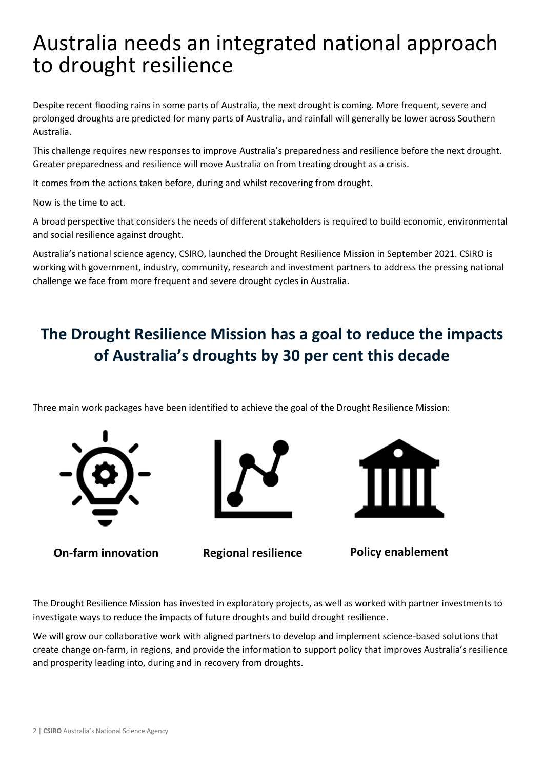## Australia needs an integrated national approach to drought resilience

Despite recent flooding rains in some parts of Australia, the next drought is coming. More frequent, severe and prolonged droughts are predicted for many parts of Australia, and rainfall will generally be lower across Southern Australia.

This challenge requires new responses to improve Australia's preparedness and resilience before the next drought. Greater preparedness and resilience will move Australia on from treating drought as a crisis.

It comes from the actions taken before, during and whilst recovering from drought.

Now is the time to act.

A broad perspective that considers the needs of different stakeholders is required to build economic, environmental and social resilience against drought.

Australia's national science agency, CSIRO, launched the Drought Resilience Mission in September 2021. CSIRO is working with government, industry, community, research and investment partners to address the pressing national challenge we face from more frequent and severe drought cycles in Australia.

### **The Drought Resilience Mission has a goal to reduce the impacts of Australia's droughts by 30 per cent this decade**

Three main work packages have been identified to achieve the goal of the Drought Resilience Mission:







**On-farm innovation Regional resilience Policy enablement**

The Drought Resilience Mission has invested in exploratory projects, as well as worked with partner investments to investigate ways to reduce the impacts of future droughts and build drought resilience.

We will grow our collaborative work with aligned partners to develop and implement science-based solutions that create change on-farm, in regions, and provide the information to support policy that improves Australia's resilience and prosperity leading into, during and in recovery from droughts.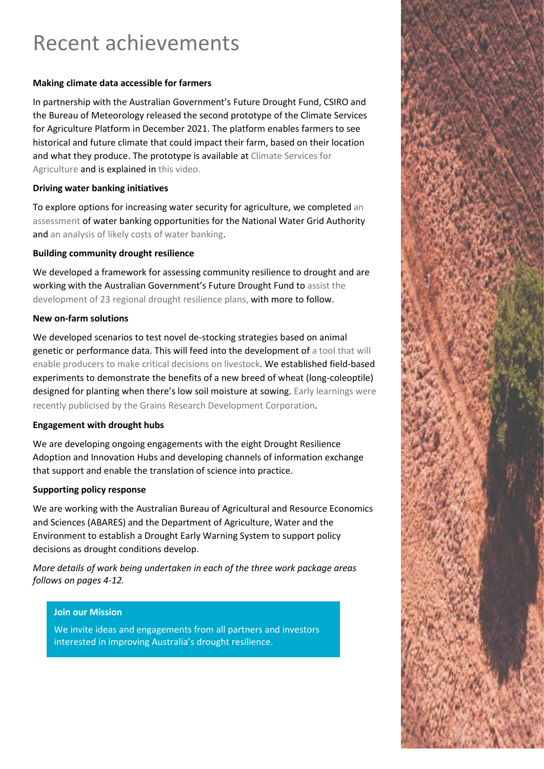## Recent achievements

#### **Making climate data accessible for farmers**

In partnership with the Australian Government's Future Drought Fund, CSIRO and the Bureau of Meteorology released the second prototype of the Climate Services for Agriculture Platform in December 2021. The platform enables farmers to see historical and future climate that could impact their farm, based on their location and what they produce. The prototype is available a[t Climate Services for](https://climateservicesforag.indraweb.io/)  [Agriculture](https://climateservicesforag.indraweb.io/) and is explained in [this video.](https://youtu.be/0nzHycGpRPs)

#### **Driving water banking initiatives**

To explore options for increasing water security for agriculture, we completed [an](https://www.csiro.au/en/research/natural-environment/water/water-resource-assessment/rapid-appraisals)  [assessment](https://www.csiro.au/en/research/natural-environment/water/water-resource-assessment/rapid-appraisals) of water banking opportunities for the National Water Grid Authority and [an analysis of likely costs of water banking.](https://doi.org/10.1016/j.agwat.2021.107437)

#### **Building community drought resilience**

We developed a framework for assessing community resilience to drought and are working with the Australian Government's Future Drought Fund t[o assist the](https://minister.awe.gov.au/littleproud/media-releases/fdf-partnering-with-csiro)  [development of 23 regional drought resilience plans,](https://minister.awe.gov.au/littleproud/media-releases/fdf-partnering-with-csiro) with more to follow.

#### **New on-farm solutions**

We developed scenarios to test novel de-stocking strategies based on animal genetic or performance data. This will feed into the development o[f a tool that will](https://www.mssanz.org.au/modsim2021/abstracts.htm)  [enable producers to make critical decisions on livestock.](https://www.mssanz.org.au/modsim2021/abstracts.htm) We established field-based experiments to demonstrate the benefits of a new breed of wheat (long-coleoptile) designed for planting when there's low soil moisture at sowing. Early learnings were [recently publicised by the Grains Research Development Co](https://grdc.com.au/resources-and-publications/grdc-update-papers/tab-content/grdc-update-papers/2022/02/early-learnings-from-multi-site,-multi-system-assessment-of-new-long-coleoptile-genetics-for-deep-sowing-of-wheat2)rporation.

#### **Engagement with drought hubs**

We are developing ongoing engagements with the eight Drought Resilience Adoption and Innovation Hubs and developing channels of information exchange that support and enable the translation of science into practice.

#### **Supporting policy response**

We are working with the Australian Bureau of Agricultural and Resource Economics and Sciences (ABARES) and the Department of Agriculture, Water and the Environment to establish a Drought Early Warning System to support policy decisions as drought conditions develop.

*More details of work being undertaken in each of the three work package areas follows on pages 4-12.* 

#### **Join our Mission**

We invite ideas and engagements from all partners and investors interested in improving Australia's drought resilience.

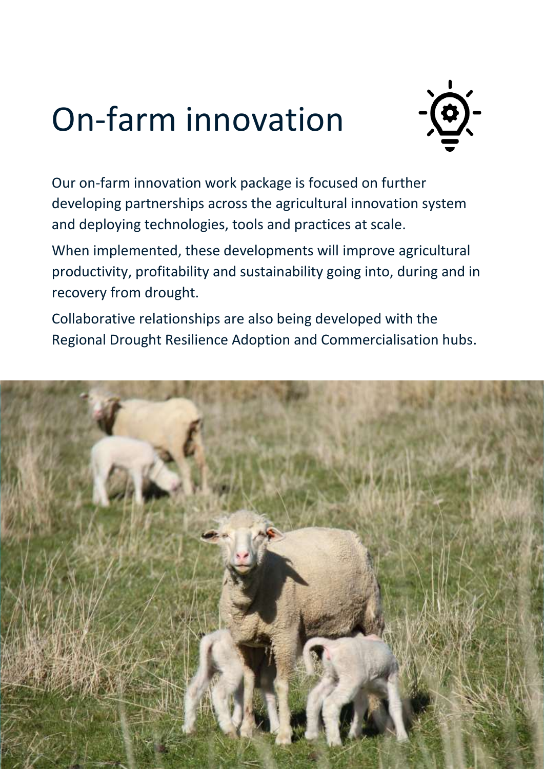## On-farm innovation



Our on-farm innovation work package is focused on further developing partnerships across the agricultural innovation system and deploying technologies, tools and practices at scale.

When implemented, these developments will improve agricultural productivity, profitability and sustainability going into, during and in recovery from drought.

Collaborative relationships are also being developed with the Regional Drought Resilience Adoption and Commercialisation hubs.

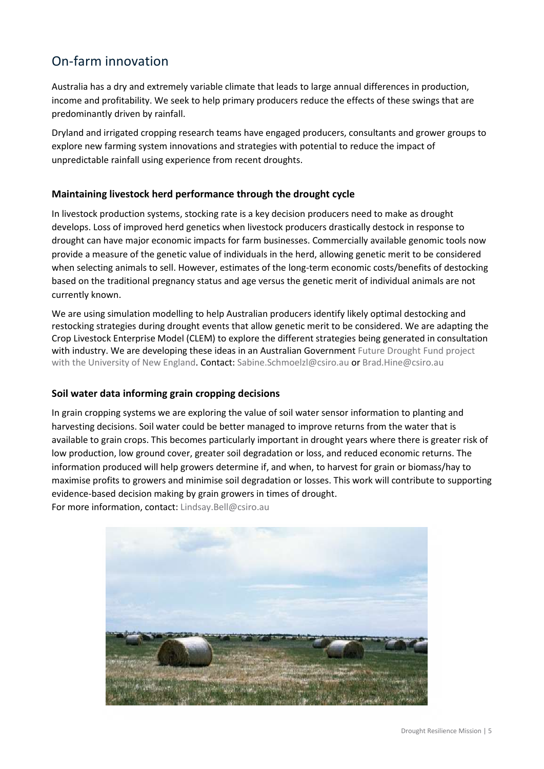### On-farm innovation

Australia has a dry and extremely variable climate that leads to large annual differences in production, income and profitability. We seek to help primary producers reduce the effects of these swings that are predominantly driven by rainfall.

Dryland and irrigated cropping research teams have engaged producers, consultants and grower groups to explore new farming system innovations and strategies with potential to reduce the impact of unpredictable rainfall using experience from recent droughts.

#### **Maintaining livestock herd performance through the drought cycle**

In livestock production systems, stocking rate is a key decision producers need to make as drought develops. Loss of improved herd genetics when livestock producers drastically destock in response to drought can have major economic impacts for farm businesses. Commercially available genomic tools now provide a measure of the genetic value of individuals in the herd, allowing genetic merit to be considered when selecting animals to sell. However, estimates of the long-term economic costs/benefits of destocking based on the traditional pregnancy status and age versus the genetic merit of individual animals are not currently known.

We are using simulation modelling to help Australian producers identify likely optimal destocking and restocking strategies during drought events that allow genetic merit to be considered. We are adapting the Crop Livestock Enterprise Model (CLEM) to explore the different strategies being generated in consultation with industry. We are developing these ideas in an Australian Government Future Drought Fund project [with the University of New England.](mailto:Future%20Drought%20Fund%20project%20with%20the%20University%20of%20New%20England) Contact: [Sabine.Schmoelzl@csiro.au](mailto:Sabine.Schmoelzl@csiro.au) o[r Brad.Hine@csiro.au](mailto:Brad.Hine@csiro.au)

#### **Soil water data informing grain cropping decisions**

In grain cropping systems we are exploring the value of soil water sensor information to planting and harvesting decisions. Soil water could be better managed to improve returns from the water that is available to grain crops. This becomes particularly important in drought years where there is greater risk of low production, low ground cover, greater soil degradation or loss, and reduced economic returns. The information produced will help growers determine if, and when, to harvest for grain or biomass/hay to maximise profits to growers and minimise soil degradation or losses. This work will contribute to supporting evidence-based decision making by grain growers in times of drought. For more information, contact: [Lindsay.Bell@csiro.au](mailto:Lindsay.Bell@csiro.au)

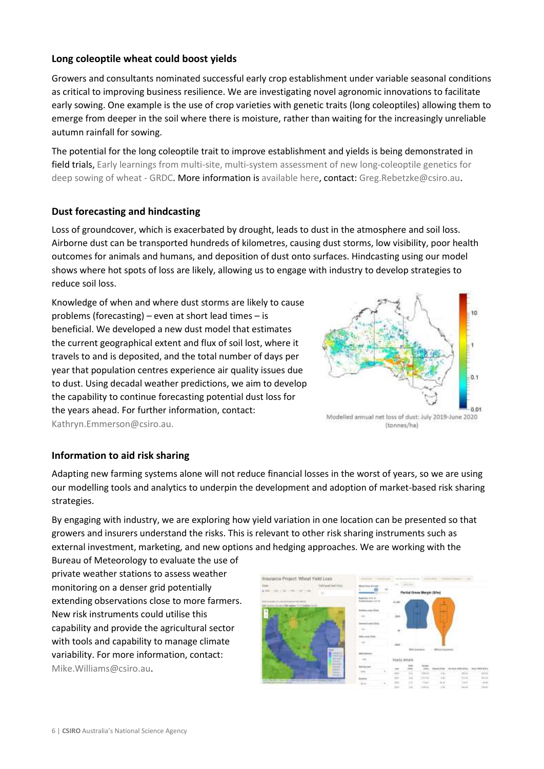#### **Long coleoptile wheat could boost yields**

Growers and consultants nominated successful early crop establishment under variable seasonal conditions as critical to improving business resilience. We are investigating novel agronomic innovations to facilitate early sowing. One example is the use of crop varieties with genetic traits (long coleoptiles) allowing them to emerge from deeper in the soil where there is moisture, rather than waiting for the increasingly unreliable autumn rainfall for sowing.

The potential for the long coleoptile trait to improve establishment and yields is being demonstrated in field trials, [Early learnings from multi-site, multi-system assessment of new long-coleoptile genetics for](mailto:Early%20learnings%20from%20multi-site,%20multi-system%20assessment%20of%20new%20long-coleoptile%20genetics%20for%20deep%20sowing%20of%20wheat%20-%20GRDC)  [deep sowing of wheat -](mailto:Early%20learnings%20from%20multi-site,%20multi-system%20assessment%20of%20new%20long-coleoptile%20genetics%20for%20deep%20sowing%20of%20wheat%20-%20GRDC) GRDC. More information i[s available here,](mailto:available%20here) contact: [Greg.Rebetzke@csiro.au.](mailto:Greg.Rebetzke@csiro.au)

#### **Dust forecasting and hindcasting**

Loss of groundcover, which is exacerbated by drought, leads to dust in the atmosphere and soil loss. Airborne dust can be transported hundreds of kilometres, causing dust storms, low visibility, poor health outcomes for animals and humans, and deposition of dust onto surfaces. Hindcasting using our model shows where hot spots of loss are likely, allowing us to engage with industry to develop strategies to reduce soil loss.

Knowledge of when and where dust storms are likely to cause problems (forecasting) – even at short lead times – is beneficial. We developed a new dust model that estimates the current geographical extent and flux of soil lost, where it travels to and is deposited, and the total number of days per year that population centres experience air quality issues due to dust. Using decadal weather predictions, we aim to develop the capability to continue forecasting potential dust loss for the years ahead. For further information, contact: [Kathryn.Emmerson@csiro.au.](mailto:Kathryn.Emmerson@csiro.au)



Modelled annual net loss of dust: July 2019-June 2020 (tonnes/ha)

#### **Information to aid risk sharing**

Adapting new farming systems alone will not reduce financial losses in the worst of years, so we are using our modelling tools and analytics to underpin the development and adoption of market-based risk sharing strategies.

By engaging with industry, we are exploring how yield variation in one location can be presented so that growers and insurers understand the risks. This is relevant to other risk sharing instruments such as external investment, marketing, and new options and hedging approaches. We are working with the

Bureau of Meteorology to evaluate the use of private weather stations to assess weather monitoring on a denser grid potentially extending observations close to more farmers. New risk instruments could utilise this capability and provide the agricultural sector with tools and capability to manage climate variability. For more information, contact: [Mike.Williams@csiro.au.](mailto:Mike.Williams@csiro.au)

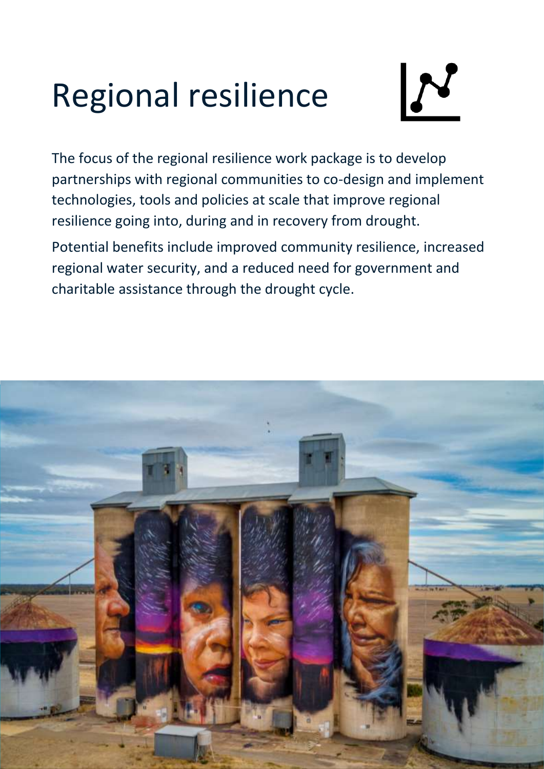# Regional resilience



The focus of the regional resilience work package is to develop partnerships with regional communities to co-design and implement technologies, tools and policies at scale that improve regional resilience going into, during and in recovery from drought.

Potential benefits include improved community resilience, increased regional water security, and a reduced need for government and charitable assistance through the drought cycle.

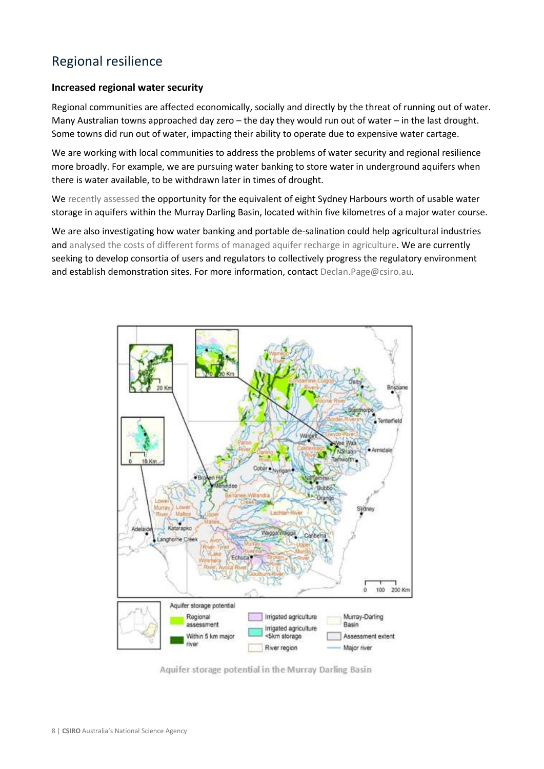#### Regional resilience

#### **Increased regional water security**

Regional communities are affected economically, socially and directly by the threat of running out of water. Many Australian towns approached day zero – the day they would run out of water – in the last drought. Some towns did run out of water, impacting their ability to operate due to expensive water cartage.

We are working with local communities to address the problems of water security and regional resilience more broadly. For example, we are pursuing water banking to store water in underground aquifers when there is water available, to be withdrawn later in times of drought.

We [recently assessed](https://www.mdpi.com/2073-4441/12/10/2936) the opportunity for the equivalent of eight Sydney Harbours worth of usable water storage in aquifers within the Murray Darling Basin, located within five kilometres of a major water course.

We are also investigating how water banking and portable de-salination could help agricultural industries and [analysed the costs of different forms of managed aquifer recharge in agriculture.](https://doi.org/10.1016/j.agwat.2021.107437) We are currently seeking to develop consortia of users and regulators to collectively progress the regulatory environment and establish demonstration sites. For more information, contac[t Declan.Page@csiro.au.](mailto:Declan.Page@csiro.au)

![](_page_7_Figure_6.jpeg)

Aquifer storage potential in the Murray Darling Basin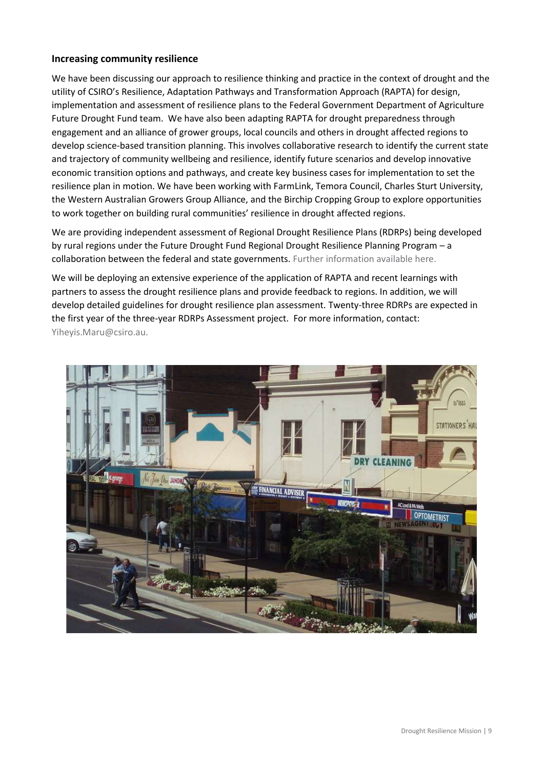#### **Increasing community resilience**

We have been discussing our approach to resilience thinking and practice in the context of drought and the utility of CSIRO's Resilience, Adaptation Pathways and Transformation Approach (RAPTA) for design, implementation and assessment of resilience plans to the Federal Government Department of Agriculture Future Drought Fund team. We have also been adapting RAPTA for drought preparedness through engagement and an alliance of grower groups, local councils and others in drought affected regions to develop science-based transition planning. This involves collaborative research to identify the current state and trajectory of community wellbeing and resilience, identify future scenarios and develop innovative economic transition options and pathways, and create key business cases for implementation to set the resilience plan in motion. We have been working with FarmLink, Temora Council, Charles Sturt University, the Western Australian Growers Group Alliance, and the Birchip Cropping Group to explore opportunities to work together on building rural communities' resilience in drought affected regions.

We are providing independent assessment of Regional Drought Resilience Plans (RDRPs) being developed by rural regions under the Future Drought Fund Regional Drought Resilience Planning Program – a collaboration between the federal and state governments. [Further information available here.](https://minister.awe.gov.au/littleproud/media-releases/fdf-partnering-with-csiro)

We will be deploying an extensive experience of the application of RAPTA and recent learnings with partners to assess the drought resilience plans and provide feedback to regions. In addition, we will develop detailed guidelines for drought resilience plan assessment. Twenty-three RDRPs are expected in the first year of the three-year RDRPs Assessment project. For more information, contact: [Yiheyis.Maru@csiro.au.](mailto:Yiheyis.Maru@csiro.au)

![](_page_8_Picture_4.jpeg)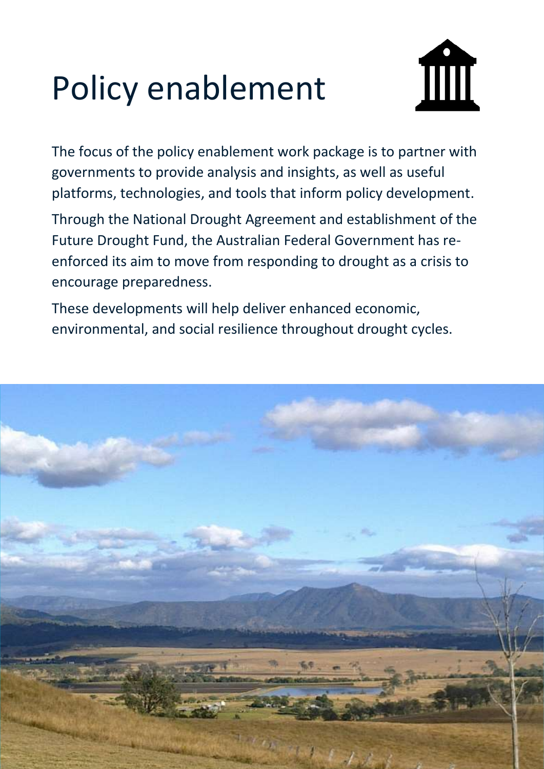# Policy enablement

![](_page_9_Picture_1.jpeg)

The focus of the policy enablement work package is to partner with governments to provide analysis and insights, as well as useful platforms, technologies, and tools that inform policy development.

Through the National Drought Agreement and establishment of the Future Drought Fund, the Australian Federal Government has reenforced its aim to move from responding to drought as a crisis to encourage preparedness.

These developments will help deliver enhanced economic, environmental, and social resilience throughout drought cycles.

![](_page_9_Picture_5.jpeg)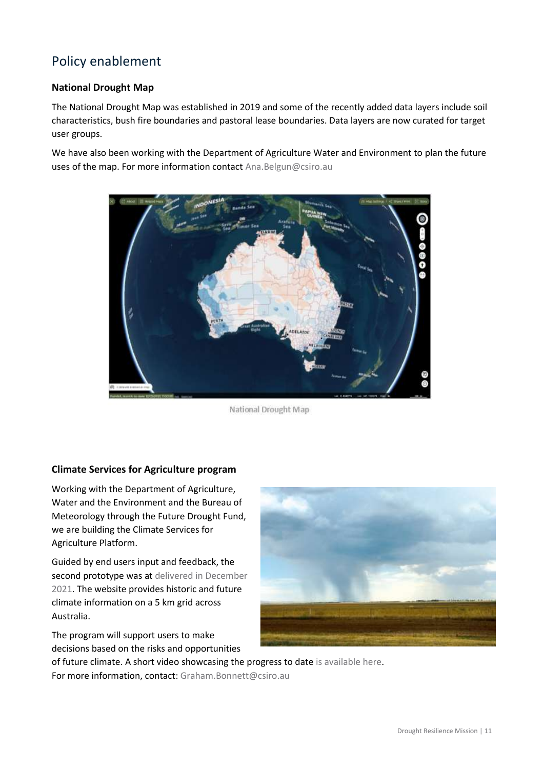### Policy enablement

#### **National Drought Map**

The [National Drought Map](https://map.drought.gov.au/) was established in 2019 and some of the recently added data layers include soil characteristics, bush fire boundaries and pastoral lease boundaries. Data layers are now curated for target user groups.

We have also been working with the Department of Agriculture Water and Environment to plan the future uses of the map. For more information contact [Ana.Belgun@csiro.au](mailto:Ana.Belgun@csiro.au)

![](_page_10_Picture_4.jpeg)

National Drought Map

#### **Climate Services for Agriculture program**

Working with the Department of Agriculture, Water and the Environment and the Bureau of Meteorology through the Future Drought Fund, we are building the Climate Services for Agriculture Platform.

Guided by end users input and feedback, the second prototype was at delivered in December [2021.](https://climateservicesforag.indraweb.io/) The website provides historic and future climate information on a 5 km grid across Australia.

The program will support users to make decisions based on the risks and opportunities

![](_page_10_Picture_10.jpeg)

of future climate. A short video showcasing the progress to dat[e is available here.](https://youtu.be/0nzHycGpRPs) For more information, contact: [Graham.Bonnett@csiro.au](mailto:Graham.Bonnett@csiro.au)